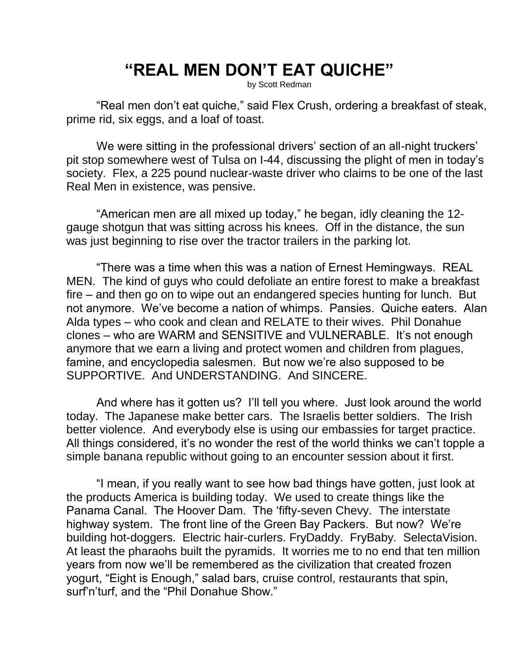## **"REAL MEN DON'T EAT QUICHE"**

by Scott Redman

"Real men don't eat quiche," said Flex Crush, ordering a breakfast of steak, prime rid, six eggs, and a loaf of toast.

We were sitting in the professional drivers' section of an all-night truckers' pit stop somewhere west of Tulsa on I-44, discussing the plight of men in today's society. Flex, a 225 pound nuclear-waste driver who claims to be one of the last Real Men in existence, was pensive.

"American men are all mixed up today," he began, idly cleaning the 12 gauge shotgun that was sitting across his knees. Off in the distance, the sun was just beginning to rise over the tractor trailers in the parking lot.

"There was a time when this was a nation of Ernest Hemingways. REAL MEN. The kind of guys who could defoliate an entire forest to make a breakfast fire – and then go on to wipe out an endangered species hunting for lunch. But not anymore. We've become a nation of whimps. Pansies. Quiche eaters. Alan Alda types – who cook and clean and RELATE to their wives. Phil Donahue clones – who are WARM and SENSITIVE and VULNERABLE. It's not enough anymore that we earn a living and protect women and children from plagues, famine, and encyclopedia salesmen. But now we're also supposed to be SUPPORTIVE. And UNDERSTANDING. And SINCERE.

And where has it gotten us? I'll tell you where. Just look around the world today. The Japanese make better cars. The Israelis better soldiers. The Irish better violence. And everybody else is using our embassies for target practice. All things considered, it's no wonder the rest of the world thinks we can't topple a simple banana republic without going to an encounter session about it first.

"I mean, if you really want to see how bad things have gotten, just look at the products America is building today. We used to create things like the Panama Canal. The Hoover Dam. The 'fifty-seven Chevy. The interstate highway system. The front line of the Green Bay Packers. But now? We're building hot-doggers. Electric hair-curlers. FryDaddy. FryBaby. SelectaVision. At least the pharaohs built the pyramids. It worries me to no end that ten million years from now we'll be remembered as the civilization that created frozen yogurt, "Eight is Enough," salad bars, cruise control, restaurants that spin, surf'n'turf, and the "Phil Donahue Show."